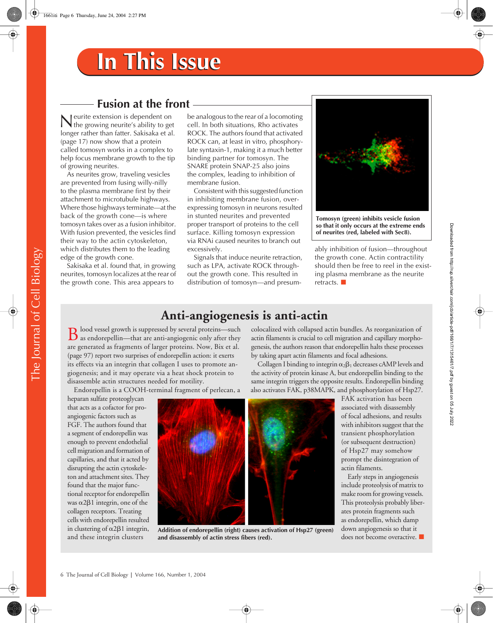## **Fusion at the front**

eurite extension is dependent on Neurite extension is dependent on<br>the growing neurite's ability to get<br> $\frac{1}{2}$ longer rather than fatter. Sakisaka et al. (page 17) now show that a protein called tomosyn works in a complex to help focus membrane growth to the tip of growing neurites.

As neurites grow, traveling vesicles are prevented from fusing willy-nilly to the plasma membrane first by their attachment to microtubule highways. Where those highways terminate—at the back of the growth cone—is where tomosyn takes over as a fusion inhibitor. With fusion prevented, the vesicles find their way to the actin cytoskeleton, which distributes them to the leading edge of the growth cone.

Sakisaka et al. found that, in growing neurites, tomosyn localizes at the rear of the growth cone. This area appears to

be analogous to the rear of a locomoting cell. In both situations, Rho activates ROCK. The authors found that activated ROCK can, at least in vitro, phosphorylate syntaxin-1, making it a much better binding partner for tomosyn. The SNARE protein SNAP-25 also joins the complex, leading to inhibition of membrane fusion.

Consistent with this suggested function in inhibiting membrane fusion, overexpressing tomosyn in neurons resulted in stunted neurites and prevented proper transport of proteins to the cell surface. Killing tomosyn expression via RNAi caused neurites to branch out excessively.

Signals that induce neurite retraction, such as LPA, activate ROCK throughout the growth cone. This resulted in distribution of tomosyn—and presum-



**Tomosyn (green) inhibits vesicle fusion so that it only occurs at the extreme ends of neurites (red, labeled with Sec8).**

ably inhibition of fusion—throughout the growth cone. Actin contractility should then be free to reel in the existing plasma membrane as the neurite retracts.

### **Anti-angiogenesis is anti-actin**

**D** lood vessel growth is suppressed by several proteins—such  $\bf{B}$  lood vessel growth is suppressed by several proteins—such as endorepellin—that are anti-angiogenic only after they  $\bf{B}$ are generated as fragments of larger proteins. Now, Bix et al. (page 97) report two surprises of endorepellin action: it exerts its effects via an integrin that collagen I uses to promote angiogenesis; and it may operate via a heat shock protein to disassemble actin structures needed for motility.

Endorepellin is a COOH-terminal fragment of perlecan, a

heparan sulfate proteoglycan that acts as a cofactor for proangiogenic factors such as FGF. The authors found that a segment of endorepellin was enough to prevent endothelial cell migration and formation of capillaries, and that it acted by disrupting the actin cytoskeleton and attachment sites. They found that the major functional receptor for endorepellin was  $\alpha$ 2 $\beta$ 1 integrin, one of the collagen receptors. Treating cells with endorepellin resulted in clustering of  $\alpha$ 2 $\beta$ 1 integrin, and these integrin clusters



**Addition of endorepellin (right) causes activation of Hsp27 (green) and disassembly of actin stress fibers (red).**

colocalized with collapsed actin bundles. As reorganization of actin filaments is crucial to cell migration and capillary morphogenesis, the authors reason that endorepellin halts these processes by taking apart actin filaments and focal adhesions.

Collagen I binding to integrin  $\alpha_2\beta_1$  decreases cAMP levels and the activity of protein kinase A, but endorepellin binding to the same integrin triggers the opposite results. Endorepellin binding also activates FAK, p38MAPK, and phosphorylation of Hsp27.

FAK activation has been associated with disassembly of focal adhesions, and results with inhibitors suggest that the transient phosphorylation (or subsequent destruction) of Hsp27 may somehow prompt the disintegration of actin filaments.

Downloaded from http://rup.silverchair.com/jcb/article-pdf/166/1/7/1315461/7.pdf by guest on 05 July 2022 Downloaded from http://rup.silverchair.com/jcb/article-pdf/166/1/7/1315461/7.pdf by guest on 05 July 2022

Early steps in angiogenesis include proteolysis of matrix to make room for growing vessels. This proteolysis probably liberates protein fragments such as endorepellin, which damp down angiogenesis so that it does not become overactive.